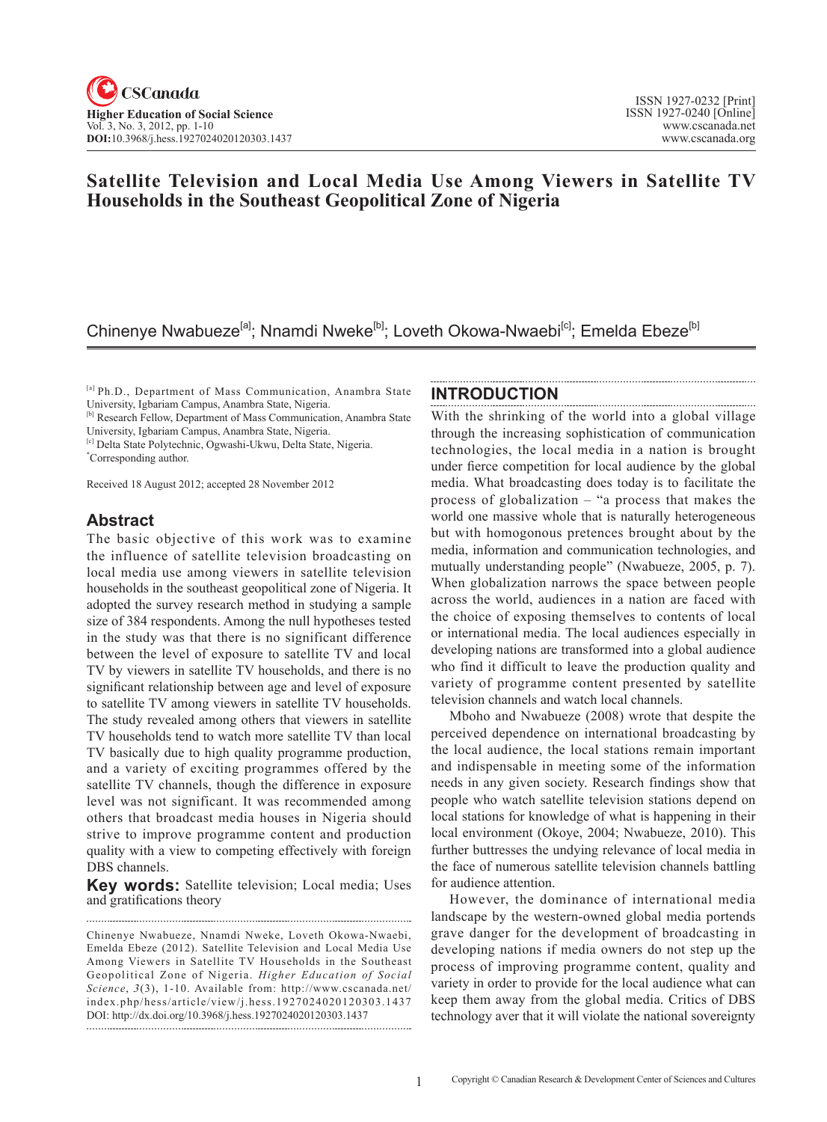# **Satellite Television and Local Media Use Among Viewers in Satellite TV Households in the Southeast Geopolitical Zone of Nigeria**

# Chinenye Nwabueze<sup>[a]</sup>; Nnamdi Nweke<sup>[b]</sup>; Loveth Okowa-Nwaebi<sup>[c]</sup>; Emelda Ebeze<sup>[b]</sup>

[a] Ph.D., Department of Mass Communication, Anambra State University, Igbariam Campus, Anambra State, Nigeria.

<sup>[b]</sup> Research Fellow, Department of Mass Communication, Anambra State University, Igbariam Campus, Anambra State, Nigeria.

[c] Delta State Polytechnic, Ogwashi-Ukwu, Delta State, Nigeria.

\* Corresponding author.

Received 18 August 2012; accepted 28 November 2012

## **Abstract**

The basic objective of this work was to examine the influence of satellite television broadcasting on local media use among viewers in satellite television households in the southeast geopolitical zone of Nigeria. It adopted the survey research method in studying a sample size of 384 respondents. Among the null hypotheses tested in the study was that there is no significant difference between the level of exposure to satellite TV and local TV by viewers in satellite TV households, and there is no significant relationship between age and level of exposure to satellite TV among viewers in satellite TV households. The study revealed among others that viewers in satellite TV households tend to watch more satellite TV than local TV basically due to high quality programme production, and a variety of exciting programmes offered by the satellite TV channels, though the difference in exposure level was not significant. It was recommended among others that broadcast media houses in Nigeria should strive to improve programme content and production quality with a view to competing effectively with foreign DBS channels.

**Key words:** Satellite television; Local media; Uses and gratifications theory

Chinenye Nwabueze, Nnamdi Nweke, Loveth Okowa-Nwaebi, Emelda Ebeze (2012). Satellite Television and Local Media Use Among Viewers in Satellite TV Households in the Southeast Geopolitical Zone of Nigeria. *Higher Education of Social*  Science, 3(3), 1-10. Available from: http://www.cscanada.net/ index.php/hess/article/view/j.hess.1927024020120303.1437 DOI: http://dx.doi.org/10.3968/j.hess.1927024020120303.1437

#### **INTRODUCTION**

With the shrinking of the world into a global village through the increasing sophistication of communication technologies, the local media in a nation is brought under fierce competition for local audience by the global media. What broadcasting does today is to facilitate the process of globalization – "a process that makes the world one massive whole that is naturally heterogeneous but with homogonous pretences brought about by the media, information and communication technologies, and mutually understanding people" (Nwabueze, 2005, p. 7). When globalization narrows the space between people across the world, audiences in a nation are faced with the choice of exposing themselves to contents of local or international media. The local audiences especially in developing nations are transformed into a global audience who find it difficult to leave the production quality and variety of programme content presented by satellite television channels and watch local channels.

Mboho and Nwabueze (2008) wrote that despite the perceived dependence on international broadcasting by the local audience, the local stations remain important and indispensable in meeting some of the information needs in any given society. Research findings show that people who watch satellite television stations depend on local stations for knowledge of what is happening in their local environment (Okoye, 2004; Nwabueze, 2010). This further buttresses the undying relevance of local media in the face of numerous satellite television channels battling for audience attention.

However, the dominance of international media landscape by the western-owned global media portends grave danger for the development of broadcasting in developing nations if media owners do not step up the process of improving programme content, quality and variety in order to provide for the local audience what can keep them away from the global media. Critics of DBS technology aver that it will violate the national sovereignty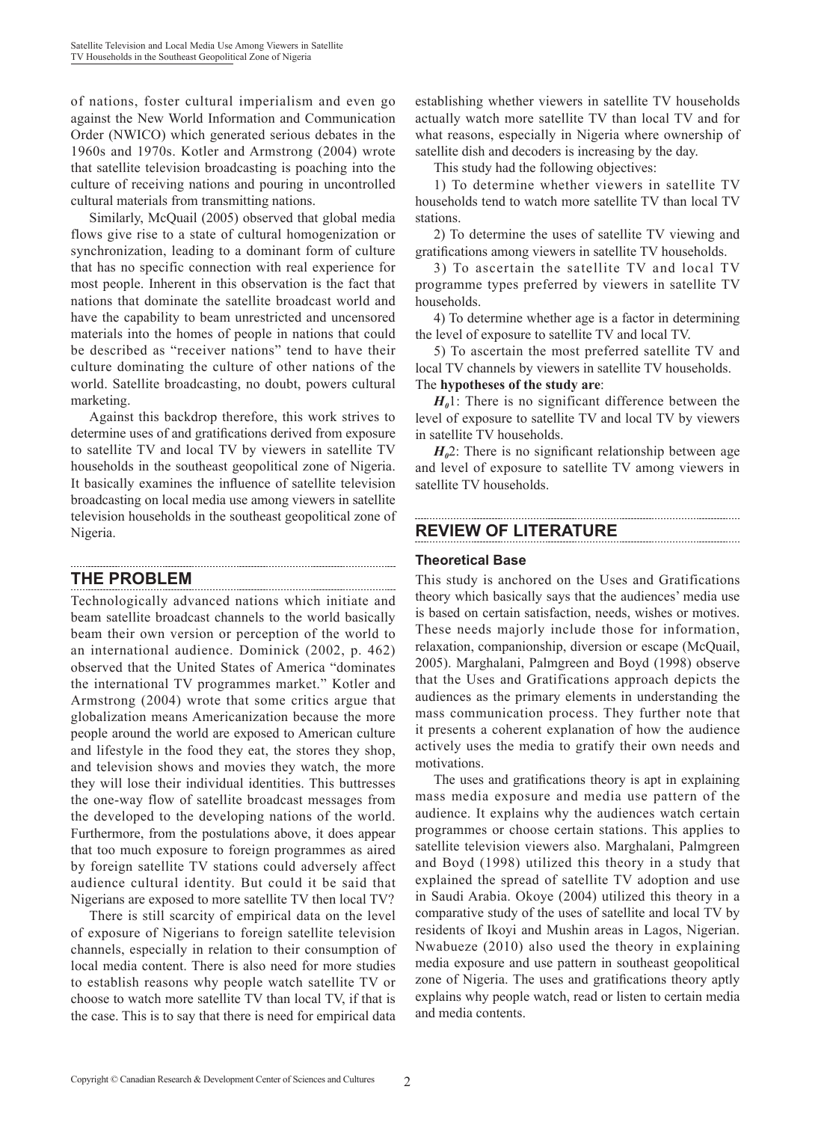of nations, foster cultural imperialism and even go against the New World Information and Communication Order (NWICO) which generated serious debates in the 1960s and 1970s. Kotler and Armstrong (2004) wrote that satellite television broadcasting is poaching into the culture of receiving nations and pouring in uncontrolled cultural materials from transmitting nations.

Similarly, McQuail (2005) observed that global media flows give rise to a state of cultural homogenization or synchronization, leading to a dominant form of culture that has no specific connection with real experience for most people. Inherent in this observation is the fact that nations that dominate the satellite broadcast world and have the capability to beam unrestricted and uncensored materials into the homes of people in nations that could be described as "receiver nations" tend to have their culture dominating the culture of other nations of the world. Satellite broadcasting, no doubt, powers cultural marketing.

Against this backdrop therefore, this work strives to determine uses of and gratifications derived from exposure to satellite TV and local TV by viewers in satellite TV households in the southeast geopolitical zone of Nigeria. It basically examines the influence of satellite television broadcasting on local media use among viewers in satellite television households in the southeast geopolitical zone of Nigeria.

# **THE PROBLEM**

Technologically advanced nations which initiate and beam satellite broadcast channels to the world basically beam their own version or perception of the world to an international audience. Dominick (2002, p. 462) observed that the United States of America "dominates the international TV programmes market." Kotler and Armstrong (2004) wrote that some critics argue that globalization means Americanization because the more people around the world are exposed to American culture and lifestyle in the food they eat, the stores they shop, and television shows and movies they watch, the more they will lose their individual identities. This buttresses the one-way flow of satellite broadcast messages from the developed to the developing nations of the world. Furthermore, from the postulations above, it does appear that too much exposure to foreign programmes as aired by foreign satellite TV stations could adversely affect audience cultural identity. But could it be said that Nigerians are exposed to more satellite TV then local TV?

There is still scarcity of empirical data on the level of exposure of Nigerians to foreign satellite television channels, especially in relation to their consumption of local media content. There is also need for more studies to establish reasons why people watch satellite TV or choose to watch more satellite TV than local TV, if that is the case. This is to say that there is need for empirical data

establishing whether viewers in satellite TV households actually watch more satellite TV than local TV and for what reasons, especially in Nigeria where ownership of satellite dish and decoders is increasing by the day.

This study had the following objectives:

1) To determine whether viewers in satellite TV households tend to watch more satellite TV than local TV stations.

2) To determine the uses of satellite TV viewing and gratifications among viewers in satellite TV households.

3) To ascertain the satellite TV and local TV programme types preferred by viewers in satellite TV households.

4) To determine whether age is a factor in determining the level of exposure to satellite TV and local TV.

5) To ascertain the most preferred satellite TV and local TV channels by viewers in satellite TV households. The **hypotheses of the study are**:

 $H_0$ 1: There is no significant difference between the level of exposure to satellite TV and local TV by viewers in satellite TV households.

 $H<sub>0</sub>$ 2: There is no significant relationship between age and level of exposure to satellite TV among viewers in satellite TV households.

# **REVIEW OF LITERATURE**

#### **Theoretical Base**

This study is anchored on the Uses and Gratifications theory which basically says that the audiences' media use is based on certain satisfaction, needs, wishes or motives. These needs majorly include those for information, relaxation, companionship, diversion or escape (McQuail, 2005). Marghalani, Palmgreen and Boyd (1998) observe that the Uses and Gratifications approach depicts the audiences as the primary elements in understanding the mass communication process. They further note that it presents a coherent explanation of how the audience actively uses the media to gratify their own needs and motivations.

The uses and gratifications theory is apt in explaining mass media exposure and media use pattern of the audience. It explains why the audiences watch certain programmes or choose certain stations. This applies to satellite television viewers also. Marghalani, Palmgreen and Boyd (1998) utilized this theory in a study that explained the spread of satellite TV adoption and use in Saudi Arabia. Okoye (2004) utilized this theory in a comparative study of the uses of satellite and local TV by residents of Ikoyi and Mushin areas in Lagos, Nigerian. Nwabueze (2010) also used the theory in explaining media exposure and use pattern in southeast geopolitical zone of Nigeria. The uses and gratifications theory aptly explains why people watch, read or listen to certain media and media contents.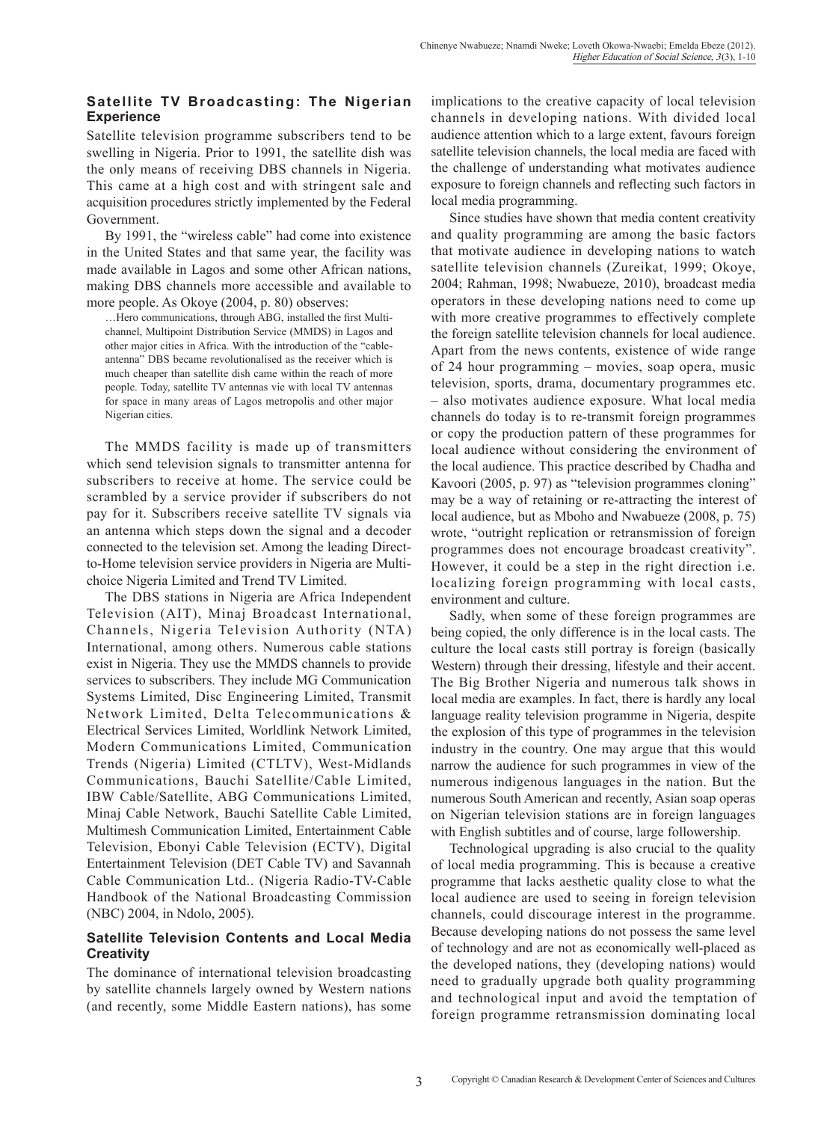## **Satellite TV Broadcasting: The Nigerian Experience**

Satellite television programme subscribers tend to be swelling in Nigeria. Prior to 1991, the satellite dish was the only means of receiving DBS channels in Nigeria. This came at a high cost and with stringent sale and acquisition procedures strictly implemented by the Federal Government.

By 1991, the "wireless cable" had come into existence in the United States and that same year, the facility was made available in Lagos and some other African nations, making DBS channels more accessible and available to more people. As Okoye (2004, p. 80) observes:

…Hero communications, through ABG, installed the first Multichannel, Multipoint Distribution Service (MMDS) in Lagos and other major cities in Africa. With the introduction of the "cableantenna" DBS became revolutionalised as the receiver which is much cheaper than satellite dish came within the reach of more people. Today, satellite TV antennas vie with local TV antennas for space in many areas of Lagos metropolis and other major Nigerian cities.

The MMDS facility is made up of transmitters which send television signals to transmitter antenna for subscribers to receive at home. The service could be scrambled by a service provider if subscribers do not pay for it. Subscribers receive satellite TV signals via an antenna which steps down the signal and a decoder connected to the television set. Among the leading Directto-Home television service providers in Nigeria are Multichoice Nigeria Limited and Trend TV Limited.

The DBS stations in Nigeria are Africa Independent Television (AIT), Minaj Broadcast International, Channels, Nigeria Television Authority (NTA) International, among others. Numerous cable stations exist in Nigeria. They use the MMDS channels to provide services to subscribers. They include MG Communication Systems Limited, Disc Engineering Limited, Transmit Network Limited, Delta Telecommunications & Electrical Services Limited, Worldlink Network Limited, Modern Communications Limited, Communication Trends (Nigeria) Limited (CTLTV), West-Midlands Communications, Bauchi Satellite/Cable Limited, IBW Cable/Satellite, ABG Communications Limited, Minaj Cable Network, Bauchi Satellite Cable Limited, Multimesh Communication Limited, Entertainment Cable Television, Ebonyi Cable Television (ECTV), Digital Entertainment Television (DET Cable TV) and Savannah Cable Communication Ltd.. (Nigeria Radio-TV-Cable Handbook of the National Broadcasting Commission (NBC) 2004, in Ndolo, 2005).

#### **Satellite Television Contents and Local Media Creativity**

The dominance of international television broadcasting by satellite channels largely owned by Western nations (and recently, some Middle Eastern nations), has some implications to the creative capacity of local television channels in developing nations. With divided local audience attention which to a large extent, favours foreign satellite television channels, the local media are faced with the challenge of understanding what motivates audience exposure to foreign channels and reflecting such factors in local media programming.

Since studies have shown that media content creativity and quality programming are among the basic factors that motivate audience in developing nations to watch satellite television channels (Zureikat, 1999; Okoye, 2004; Rahman, 1998; Nwabueze, 2010), broadcast media operators in these developing nations need to come up with more creative programmes to effectively complete the foreign satellite television channels for local audience. Apart from the news contents, existence of wide range of 24 hour programming – movies, soap opera, music television, sports, drama, documentary programmes etc. – also motivates audience exposure. What local media channels do today is to re-transmit foreign programmes or copy the production pattern of these programmes for local audience without considering the environment of the local audience. This practice described by Chadha and Kavoori (2005, p. 97) as "television programmes cloning" may be a way of retaining or re-attracting the interest of local audience, but as Mboho and Nwabueze (2008, p. 75) wrote, "outright replication or retransmission of foreign programmes does not encourage broadcast creativity". However, it could be a step in the right direction i.e. localizing foreign programming with local casts, environment and culture.

Sadly, when some of these foreign programmes are being copied, the only difference is in the local casts. The culture the local casts still portray is foreign (basically Western) through their dressing, lifestyle and their accent. The Big Brother Nigeria and numerous talk shows in local media are examples. In fact, there is hardly any local language reality television programme in Nigeria, despite the explosion of this type of programmes in the television industry in the country. One may argue that this would narrow the audience for such programmes in view of the numerous indigenous languages in the nation. But the numerous South American and recently, Asian soap operas on Nigerian television stations are in foreign languages with English subtitles and of course, large followership.

Technological upgrading is also crucial to the quality of local media programming. This is because a creative programme that lacks aesthetic quality close to what the local audience are used to seeing in foreign television channels, could discourage interest in the programme. Because developing nations do not possess the same level of technology and are not as economically well-placed as the developed nations, they (developing nations) would need to gradually upgrade both quality programming and technological input and avoid the temptation of foreign programme retransmission dominating local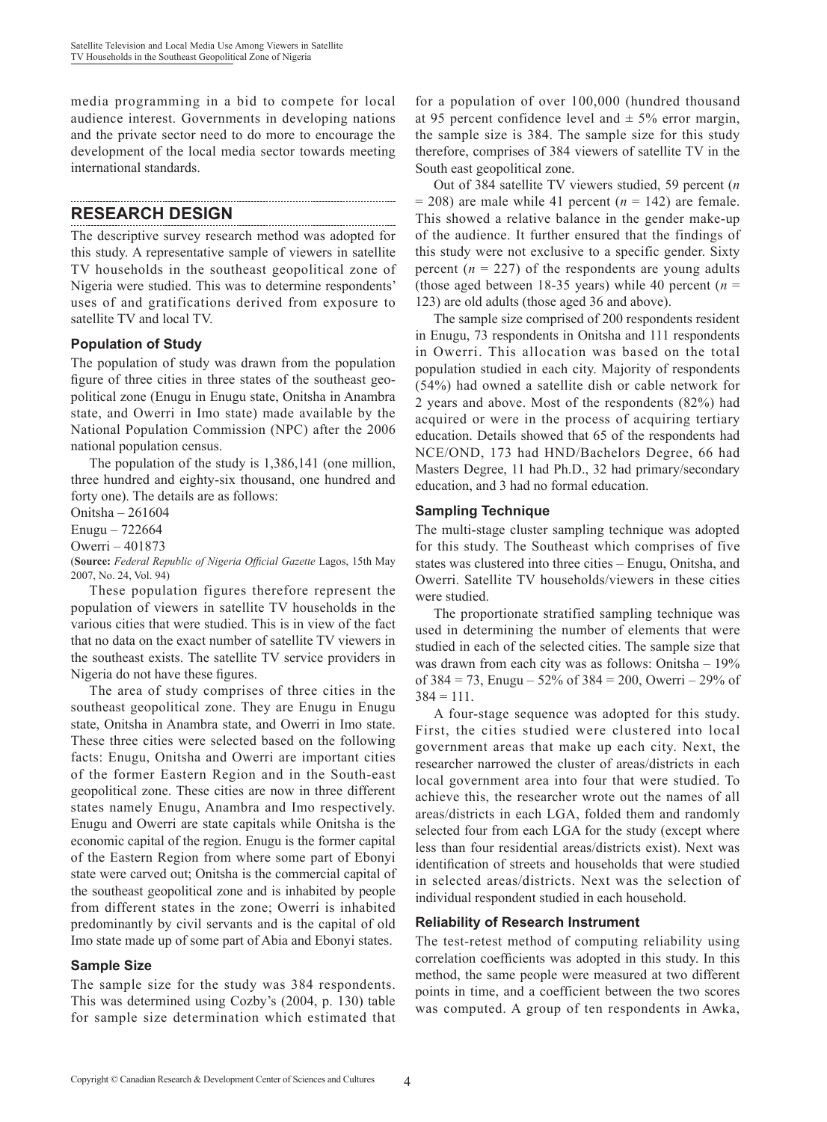media programming in a bid to compete for local audience interest. Governments in developing nations and the private sector need to do more to encourage the development of the local media sector towards meeting international standards.

#### **RESEARCH DESIGN**

The descriptive survey research method was adopted for this study. A representative sample of viewers in satellite TV households in the southeast geopolitical zone of Nigeria were studied. This was to determine respondents' uses of and gratifications derived from exposure to satellite TV and local TV.

## **Population of Study**

The population of study was drawn from the population figure of three cities in three states of the southeast geopolitical zone (Enugu in Enugu state, Onitsha in Anambra state, and Owerri in Imo state) made available by the National Population Commission (NPC) after the 2006 national population census.

The population of the study is 1,386,141 (one million, three hundred and eighty-six thousand, one hundred and forty one). The details are as follows:

Onitsha – 261604

Enugu – 722664

Owerri – 401873

(**Source:** *Federal Republic of Nigeria Official Gazette* Lagos, 15th May 2007, No. 24, Vol. 94)

These population figures therefore represent the population of viewers in satellite TV households in the various cities that were studied. This is in view of the fact that no data on the exact number of satellite TV viewers in the southeast exists. The satellite TV service providers in Nigeria do not have these figures.

The area of study comprises of three cities in the southeast geopolitical zone. They are Enugu in Enugu state, Onitsha in Anambra state, and Owerri in Imo state. These three cities were selected based on the following facts: Enugu, Onitsha and Owerri are important cities of the former Eastern Region and in the South-east geopolitical zone. These cities are now in three different states namely Enugu, Anambra and Imo respectively. Enugu and Owerri are state capitals while Onitsha is the economic capital of the region. Enugu is the former capital of the Eastern Region from where some part of Ebonyi state were carved out; Onitsha is the commercial capital of the southeast geopolitical zone and is inhabited by people from different states in the zone; Owerri is inhabited predominantly by civil servants and is the capital of old Imo state made up of some part of Abia and Ebonyi states.

#### **Sample Size**

The sample size for the study was 384 respondents. This was determined using Cozby's (2004, p. 130) table for sample size determination which estimated that

for a population of over 100,000 (hundred thousand at 95 percent confidence level and  $\pm$  5% error margin, the sample size is 384. The sample size for this study therefore, comprises of 384 viewers of satellite TV in the South east geopolitical zone.

Out of 384 satellite TV viewers studied, 59 percent (*n*   $= 208$ ) are male while 41 percent ( $n = 142$ ) are female. This showed a relative balance in the gender make-up of the audience. It further ensured that the findings of this study were not exclusive to a specific gender. Sixty percent  $(n = 227)$  of the respondents are young adults (those aged between 18-35 years) while 40 percent ( $n =$ 123) are old adults (those aged 36 and above).

The sample size comprised of 200 respondents resident in Enugu, 73 respondents in Onitsha and 111 respondents in Owerri. This allocation was based on the total population studied in each city. Majority of respondents (54%) had owned a satellite dish or cable network for 2 years and above. Most of the respondents (82%) had acquired or were in the process of acquiring tertiary education. Details showed that 65 of the respondents had NCE/OND, 173 had HND/Bachelors Degree, 66 had Masters Degree, 11 had Ph.D., 32 had primary/secondary education, and 3 had no formal education.

#### **Sampling Technique**

The multi-stage cluster sampling technique was adopted for this study. The Southeast which comprises of five states was clustered into three cities – Enugu, Onitsha, and Owerri. Satellite TV households/viewers in these cities were studied.

The proportionate stratified sampling technique was used in determining the number of elements that were studied in each of the selected cities. The sample size that was drawn from each city was as follows: Onitsha – 19% of 384 = 73, Enugu – 52% of 384 = 200, Owerri – 29% of  $384 = 111.$ 

A four-stage sequence was adopted for this study. First, the cities studied were clustered into local government areas that make up each city. Next, the researcher narrowed the cluster of areas/districts in each local government area into four that were studied. To achieve this, the researcher wrote out the names of all areas/districts in each LGA, folded them and randomly selected four from each LGA for the study (except where less than four residential areas/districts exist). Next was identification of streets and households that were studied in selected areas/districts. Next was the selection of individual respondent studied in each household.

# **Reliability of Research Instrument**

The test-retest method of computing reliability using correlation coefficients was adopted in this study. In this method, the same people were measured at two different points in time, and a coefficient between the two scores was computed. A group of ten respondents in Awka,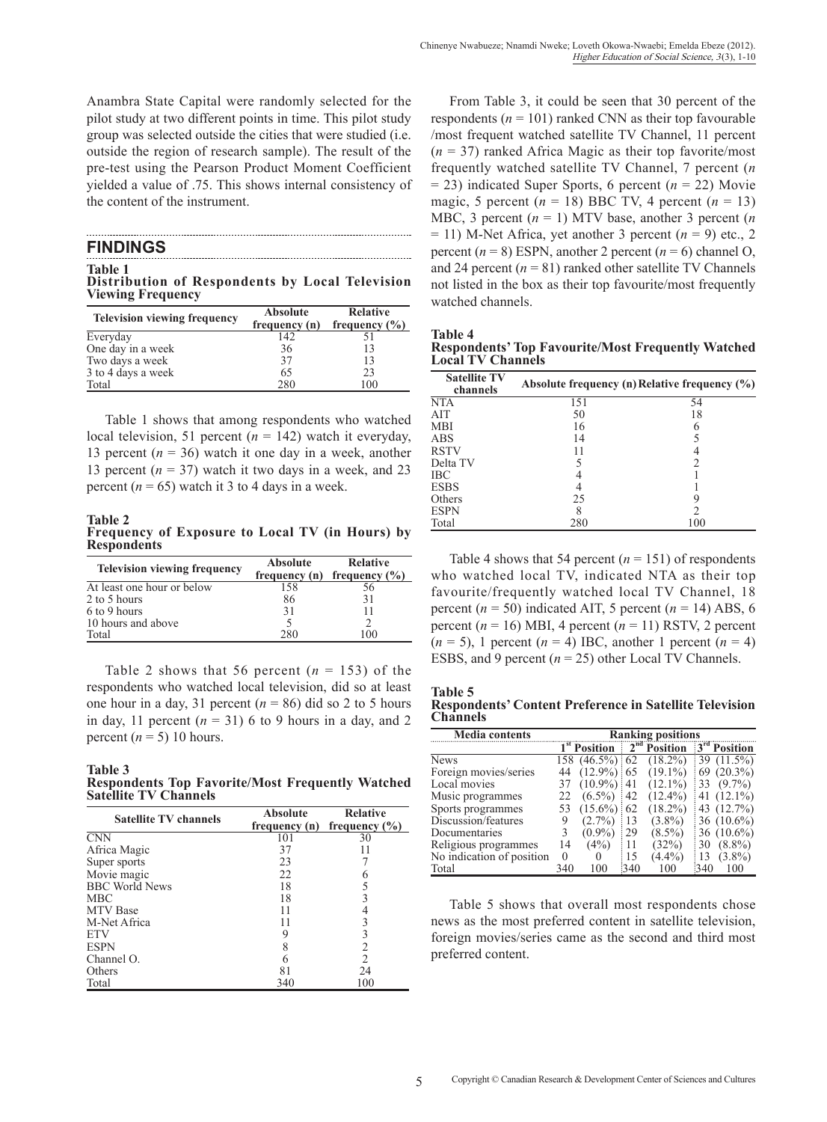Anambra State Capital were randomly selected for the pilot study at two different points in time. This pilot study group was selected outside the cities that were studied (i.e. outside the region of research sample). The result of the pre-test using the Pearson Product Moment Coefficient yielded a value of .75. This shows internal consistency of the content of the instrument.

| <b>FINDINGS</b> |
|-----------------|
|                 |

**Table 1 Distribution of Respondents by Local Television Viewing Frequency** 

| <b>Television viewing frequency</b> | <b>Absolute</b><br>frequency (n) | <b>Relative</b><br>frequency $(\% )$ |  |  |
|-------------------------------------|----------------------------------|--------------------------------------|--|--|
| Everyday                            | 142                              |                                      |  |  |
| One day in a week                   | 36                               | 13                                   |  |  |
| Two days a week                     | 37                               | 13                                   |  |  |
| 3 to 4 days a week                  | 65                               | 23                                   |  |  |
| Total                               | 280                              | 100                                  |  |  |

Table 1 shows that among respondents who watched local television, 51 percent  $(n = 142)$  watch it everyday, 13 percent  $(n = 36)$  watch it one day in a week, another 13 percent  $(n = 37)$  watch it two days in a week, and 23 percent  $(n = 65)$  watch it 3 to 4 days in a week.

**Table 2 Frequency of Exposure to Local TV (in Hours) by Respondents** 

| <b>Television viewing frequency</b> | <b>Absolute</b> | <b>Relative</b>                 |  |  |
|-------------------------------------|-----------------|---------------------------------|--|--|
|                                     |                 | frequency (n) frequency $(\% )$ |  |  |
| At least one hour or below          | 158             | 56                              |  |  |
| 2 to 5 hours                        | 86              | 31                              |  |  |
| 6 to 9 hours                        | 31              |                                 |  |  |
| 10 hours and above                  |                 |                                 |  |  |
| Total                               | 280             | 100                             |  |  |

Table 2 shows that 56 percent  $(n = 153)$  of the respondents who watched local television, did so at least one hour in a day, 31 percent  $(n = 86)$  did so 2 to 5 hours in day, 11 percent  $(n = 31)$  6 to 9 hours in a day, and 2 percent  $(n = 5)$  10 hours.

**Table 3 Respondents Top Favorite/Most Frequently Watched Satellite TV Channels**

| <b>Satellite TV channels</b> | <b>Absolute</b><br>frequency (n) | <b>Relative</b><br>frequency $(\% )$ |
|------------------------------|----------------------------------|--------------------------------------|
| <b>CNN</b>                   | 101                              | 30                                   |
| Africa Magic                 | 37                               |                                      |
| Super sports                 | 23                               |                                      |
| Movie magic                  | 22                               |                                      |
| <b>BBC World News</b>        | 18                               |                                      |
| <b>MBC</b>                   | 18                               |                                      |
| <b>MTV</b> Base              | 11                               |                                      |
| M-Net Africa                 | 11                               |                                      |
| <b>ETV</b>                   |                                  |                                      |
| <b>ESPN</b>                  |                                  | 2                                    |
| Channel O.                   |                                  | $\overline{c}$                       |
| Others                       |                                  | 24                                   |
| Total                        | 340                              | 100                                  |

From Table 3, it could be seen that 30 percent of the respondents ( $n = 101$ ) ranked CNN as their top favourable /most frequent watched satellite TV Channel, 11 percent (*n* = 37) ranked Africa Magic as their top favorite/most frequently watched satellite TV Channel, 7 percent (*n*  = 23) indicated Super Sports, 6 percent (*n* = 22) Movie magic, 5 percent ( $n = 18$ ) BBC TV, 4 percent ( $n = 13$ ) MBC, 3 percent (*n* = 1) MTV base, another 3 percent (*n*   $= 11$ ) M-Net Africa, yet another 3 percent  $(n = 9)$  etc., 2 percent  $(n = 8)$  ESPN, another 2 percent  $(n = 6)$  channel O, and 24 percent  $(n = 81)$  ranked other satellite TV Channels not listed in the box as their top favourite/most frequently watched channels.

| <b>Table 4</b>                                            |  |
|-----------------------------------------------------------|--|
| <b>Respondents' Top Favourite/Most Frequently Watched</b> |  |
| <b>Local TV Channels</b>                                  |  |

| <b>Satellite TV</b><br>channels |     | Absolute frequency (n) Relative frequency (%) |
|---------------------------------|-----|-----------------------------------------------|
| <b>NTA</b>                      | 151 | 54                                            |
| AIT                             | 50  | 18                                            |
| <b>MBI</b>                      | 16  |                                               |
| <b>ABS</b>                      | 14  |                                               |
| <b>RSTV</b>                     |     |                                               |
| Delta TV                        |     |                                               |
| <b>IBC</b>                      |     |                                               |
| <b>ESBS</b>                     |     |                                               |
| Others                          | 25  |                                               |
| <b>ESPN</b>                     | 8   |                                               |
| Total                           | 280 | 100                                           |

Table 4 shows that 54 percent  $(n = 151)$  of respondents who watched local TV, indicated NTA as their top favourite/frequently watched local TV Channel, 18 percent  $(n = 50)$  indicated AIT, 5 percent  $(n = 14)$  ABS, 6 percent  $(n = 16)$  MBI, 4 percent  $(n = 11)$  RSTV, 2 percent  $(n = 5)$ , 1 percent  $(n = 4)$  IBC, another 1 percent  $(n = 4)$ ESBS, and 9 percent  $(n = 25)$  other Local TV Channels.

| Table 5         |                                                                |  |  |
|-----------------|----------------------------------------------------------------|--|--|
|                 | <b>Respondents' Content Preference in Satellite Television</b> |  |  |
| <b>Channels</b> |                                                                |  |  |

| <b>Media contents</b>     | <b>Ranking positions</b> |                          |                  |                |     |                |  |
|---------------------------|--------------------------|--------------------------|------------------|----------------|-----|----------------|--|
|                           |                          | 1 <sup>st</sup> Position |                  | $2nd$ Position |     | $3rd$ Position |  |
| <b>News</b>               |                          | 158 (46.5%)              | $\pm 62$         | $(18.2\%)$     |     | 39 (11.5%)     |  |
| Foreign movies/series     | 44                       | $(12.9\%)$               | $\frac{1}{2}65$  | $(19.1\%)$     | 69  | $(20.3\%)$     |  |
| Local movies              | 37                       | $(10.9\%)$               | $\pm 41$         | $(12.1\%)$     | 33  | $(9.7\%)$      |  |
| Music programmes          | 22                       | $(6.5\%)$                | 42               | $(12.4\%)$     | 41  | $(12.1\%)$     |  |
| Sports programmes         | 53                       | $(15.6\%)$               | 62               | $(18.2\%)$     |     | 43 (12.7%)     |  |
| Discussion/features       |                          | $(2.7\%)$                | 13               | $(3.8\%)$      |     | 36 $(10.6\%)$  |  |
| Documentaries             |                          | $(0.9\%)$                | 29               | $(8.5\%)$      |     | 36 $(10.6\%)$  |  |
| Religious programmes      | 14                       | $(4\%)$                  | 11               | (32%)          | 30  | $(8.8\%)$      |  |
| No indication of position | $\theta$                 |                          | 15               | $(4.4\%)$      | 13  | $(3.8\%)$      |  |
| Total                     | 340                      | 100                      | $\frac{1340}{2}$ | 100            | 340 | 100            |  |

Table 5 shows that overall most respondents chose news as the most preferred content in satellite television, foreign movies/series came as the second and third most preferred content.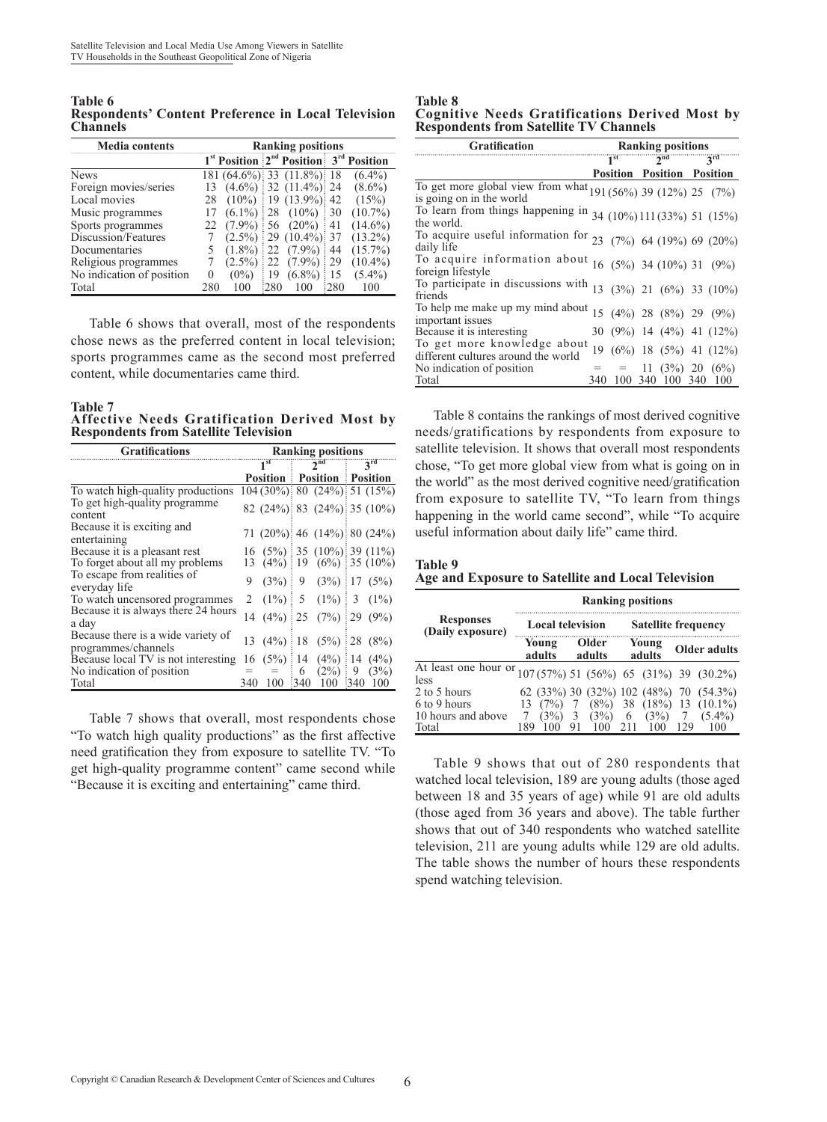**Table 6 Respondents' Content Preference in Local Television Channels** 

| <b>Media contents</b>     | <b>Ranking positions</b>     |                                |                                              |  |  |  |
|---------------------------|------------------------------|--------------------------------|----------------------------------------------|--|--|--|
|                           |                              |                                | $1st$ Position $2nd$ Position $3rd$ Position |  |  |  |
| <b>News</b>               |                              | $181 (64.6\%)$ 33 $(11.8\%)$   | $(6.4\%)$                                    |  |  |  |
| Foreign movies/series     |                              | $(4.6\%)$ : 32 $(11.4\%)$ : 24 | $(8.6\%)$                                    |  |  |  |
| Local movies              | $(10\%)$<br>28               | $19(13.9\%)$                   | (15%)<br>42                                  |  |  |  |
| Music programmes          | $(6.1\%)$                    | $(10\%)$<br>28                 | $(10.7\%)$<br>30                             |  |  |  |
| Sports programmes         | $(7.9\%)$<br>22              | $(20\%)$<br>56                 | $(14.6\%)$                                   |  |  |  |
| Discussion/Features       | $(2.5\%)$                    | $(10.4\%)$<br>29               | $(13.2\%)$                                   |  |  |  |
| Documentaries             | $(1.8\%)$                    | $(7.9\%)$<br>22                | $(15.7\%)$<br>44                             |  |  |  |
| Religious programmes      | $2.5\%$                      | $(7.9\%)$                      | $(10.4\%)$<br>29                             |  |  |  |
| No indication of position | $(0\%)$<br>$\mathbf{\Omega}$ | $(6.8\%)$<br>19                | $(5.4\%)$                                    |  |  |  |
| Total                     | 280<br>100                   | :280<br>(1)                    | :280<br>100                                  |  |  |  |

Table 6 shows that overall, most of the respondents chose news as the preferred content in local television; sports programmes came as the second most preferred content, while documentaries came third.

**Table 7 Affective Needs Gratification Derived Most by Respondents from Satellite Television**

| <b>Gratifications</b>                                     | <b>Ranking positions</b> |         |   |                                                                                |      |                 |
|-----------------------------------------------------------|--------------------------|---------|---|--------------------------------------------------------------------------------|------|-----------------|
|                                                           | $\overline{1}^{\rm st}$  |         |   | 2 <sup>nd</sup>                                                                |      | $3^{\text{rd}}$ |
|                                                           |                          |         |   | <b>Position Position Position</b>                                              |      |                 |
| To watch high-quality productions                         |                          |         |   | $104(30\%)$ 80 $(24\%)$ 51 $(15\%)$                                            |      |                 |
| To get high-quality programme<br>content                  |                          |         |   | $82(24\%)$ 83 $(24\%)$ 35 $(10\%)$                                             |      |                 |
| Because it is exciting and<br>entertaining                |                          |         |   | 71 $(20\%)$ : 46 $(14\%)$ : 80 $(24\%)$                                        |      |                 |
| Because it is a pleasant rest                             |                          |         |   | 16 (5%) 35 (10%) 39 (11%)                                                      |      |                 |
| To forget about all my problems                           |                          |         |   | 13 $(4\%)$ 19 $(6\%)$ 35 (10%)                                                 |      |                 |
| To escape from realities of<br>everyday life              | 9                        |         |   | $(3\%)$ 9 $(3\%)$ 17 $(5\%)$                                                   |      |                 |
| To watch uncensored programmes                            |                          |         |   | 2 $(1\%)$ 5 $(1\%)$ 3 $(1\%)$                                                  |      |                 |
| Because it is always there 24 hours<br>a day              |                          |         |   | $14 \quad (4\%) \stackrel{?}{=} 25 \quad (7\%) \stackrel{?}{=} 29 \quad (9\%)$ |      |                 |
| Because there is a wide variety of<br>programmes/channels |                          |         |   | 13 (4%) 18 (5%)                                                                |      | 28 (8%)         |
| Because local TV is not interesting                       |                          |         |   | $16(5\%)$ 14 $(4\%)$                                                           |      | 14 $(4%)$       |
| No indication of position                                 |                          | $=$ $=$ | 6 | $(2\%)$                                                                        | 9    | (3%)            |
| Total                                                     | 340                      |         |   | 100 340 100                                                                    | :340 | -100            |

Table 7 shows that overall, most respondents chose "To watch high quality productions" as the first affective need gratification they from exposure to satellite TV. "To get high-quality programme content" came second while "Because it is exciting and entertaining" came third.

**Table 8 Cognitive Needs Gratifications Derived Most by Respondents from Satellite TV Channels**

| Gratification                                                                             | <b>Ranking positions</b> |                                   |                 |                     |  |                              |
|-------------------------------------------------------------------------------------------|--------------------------|-----------------------------------|-----------------|---------------------|--|------------------------------|
|                                                                                           |                          | $\overline{1}^{\text{st}}$        | 2 <sup>nd</sup> |                     |  | $\mathbf{a}$ rd $\mathbf{b}$ |
|                                                                                           |                          | <b>Position Position Position</b> |                 |                     |  |                              |
| To get more global view from what $191(56%)$ 39 (12%) 25 (7%)<br>is going on in the world |                          |                                   |                 |                     |  |                              |
| To learn from things happening in $34$ (10%) 111 (33%) 51 (15%)<br>the world.             |                          |                                   |                 |                     |  |                              |
| To acquire useful information for $23$ (7%) 64 (19%) 69 (20%)<br>daily life               |                          |                                   |                 |                     |  |                              |
| To acquire information about $16(5\%)$ 34 (10%) 31 (9%)<br>foreign lifestyle              |                          |                                   |                 |                     |  |                              |
| To participate in discussions with $13$ (3%) 21 (6%) 33 (10%)<br>friends                  |                          |                                   |                 |                     |  |                              |
| To help me make up my mind about<br>important issues                                      |                          |                                   |                 |                     |  | 15 (4%) 28 (8%) 29 (9%)      |
| Because it is interesting.                                                                |                          |                                   |                 |                     |  | 30 (9%) 14 (4%) 41 (12%)     |
| To get more knowledge about<br>different cultures around the world                        |                          |                                   |                 |                     |  | 19 (6%) 18 (5%) 41 (12%)     |
| No indication of position                                                                 |                          | $=$ $=$ 11 (3%) 20 (6%)           |                 |                     |  |                              |
| Total                                                                                     | 340                      |                                   |                 | 100 340 100 340 100 |  |                              |

Table 8 contains the rankings of most derived cognitive needs/gratifications by respondents from exposure to satellite television. It shows that overall most respondents chose, "To get more global view from what is going on in the world" as the most derived cognitive need/gratification from exposure to satellite TV, "To learn from things happening in the world came second", while "To acquire useful information about daily life" came third.

**Table 9 Age and Exposure to Satellite and Local Television**

|                                      | <b>Ranking positions</b> |                |                 |     |                            |  |                                        |  |  |
|--------------------------------------|--------------------------|----------------|-----------------|-----|----------------------------|--|----------------------------------------|--|--|
| <b>Responses</b><br>(Daily exposure) | <b>Local television</b>  |                |                 |     | <b>Satellite frequency</b> |  |                                        |  |  |
|                                      | Young<br>adults          |                | Older<br>adults |     | Young<br>adults            |  | <b>Older adults</b>                    |  |  |
| At least one hour or<br>less         |                          |                |                 |     |                            |  | 107 (57%) 51 (56%) 65 (31%) 39 (30.2%) |  |  |
| 2 to 5 hours                         |                          |                |                 |     |                            |  | 62 (33%) 30 (32%) 102 (48%) 70 (54.3%) |  |  |
| 6 to 9 hours                         | (7%)                     |                |                 |     |                            |  | $(8\%)$ 38 $(18\%)$ 13 $(10.1\%)$      |  |  |
| 10 hours and above                   | (3%)                     | $\overline{3}$ | (3%)            | 6   | (3%)                       |  | $(5.4\%)$                              |  |  |
| Total                                | 189                      |                | 100             | 211 | 100                        |  | 100                                    |  |  |

Table 9 shows that out of 280 respondents that watched local television, 189 are young adults (those aged between 18 and 35 years of age) while 91 are old adults (those aged from 36 years and above). The table further shows that out of 340 respondents who watched satellite television, 211 are young adults while 129 are old adults. The table shows the number of hours these respondents spend watching television.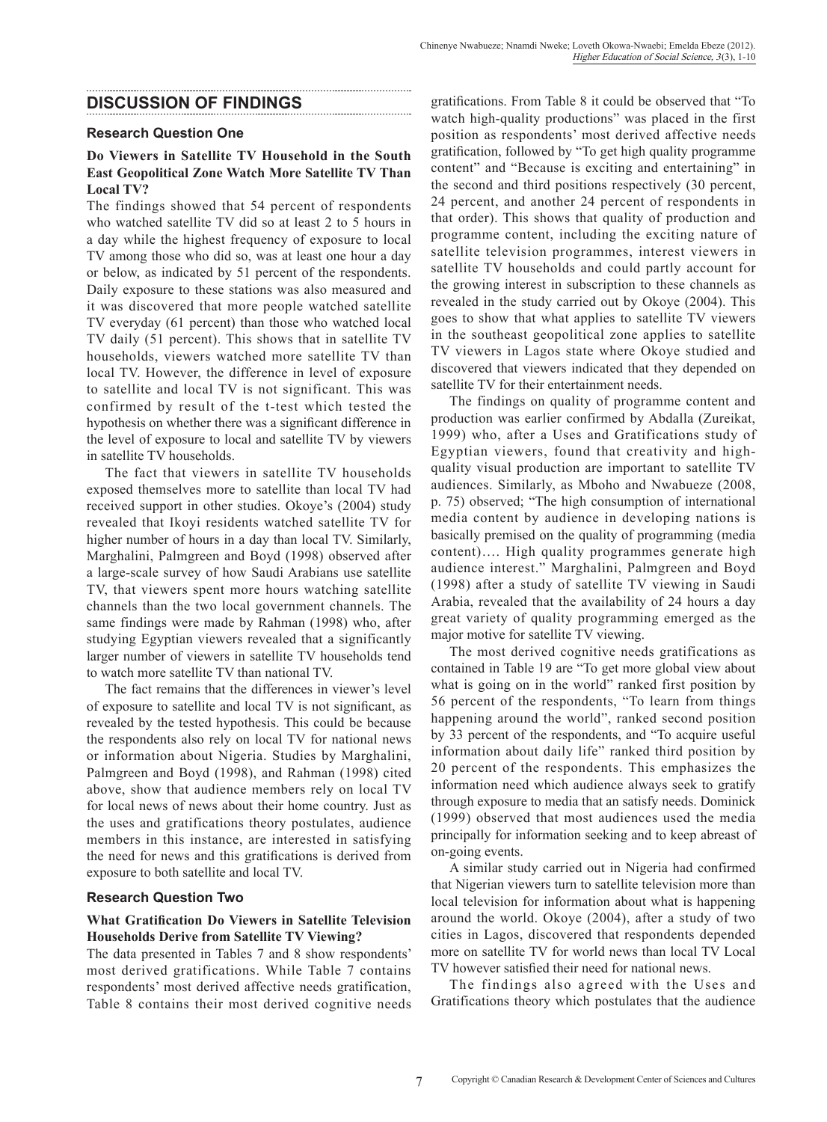## **DISCUSSION OF FINDINGS**

#### **Research Question One**

#### **Do Viewers in Satellite TV Household in the South East Geopolitical Zone Watch More Satellite TV Than Local TV?**

The findings showed that 54 percent of respondents who watched satellite TV did so at least 2 to 5 hours in a day while the highest frequency of exposure to local TV among those who did so, was at least one hour a day or below, as indicated by 51 percent of the respondents. Daily exposure to these stations was also measured and it was discovered that more people watched satellite TV everyday (61 percent) than those who watched local TV daily (51 percent). This shows that in satellite TV households, viewers watched more satellite TV than local TV. However, the difference in level of exposure to satellite and local TV is not significant. This was confirmed by result of the t-test which tested the hypothesis on whether there was a significant difference in the level of exposure to local and satellite TV by viewers in satellite TV households.

The fact that viewers in satellite TV households exposed themselves more to satellite than local TV had received support in other studies. Okoye's (2004) study revealed that Ikoyi residents watched satellite TV for higher number of hours in a day than local TV. Similarly, Marghalini, Palmgreen and Boyd (1998) observed after a large-scale survey of how Saudi Arabians use satellite TV, that viewers spent more hours watching satellite channels than the two local government channels. The same findings were made by Rahman (1998) who, after studying Egyptian viewers revealed that a significantly larger number of viewers in satellite TV households tend to watch more satellite TV than national TV.

The fact remains that the differences in viewer's level of exposure to satellite and local TV is not significant, as revealed by the tested hypothesis. This could be because the respondents also rely on local TV for national news or information about Nigeria. Studies by Marghalini, Palmgreen and Boyd (1998), and Rahman (1998) cited above, show that audience members rely on local TV for local news of news about their home country. Just as the uses and gratifications theory postulates, audience members in this instance, are interested in satisfying the need for news and this gratifications is derived from exposure to both satellite and local TV.

#### **Research Question Two**

#### **What Gratification Do Viewers in Satellite Television Households Derive from Satellite TV Viewing?**

The data presented in Tables 7 and 8 show respondents' most derived gratifications. While Table 7 contains respondents' most derived affective needs gratification, Table 8 contains their most derived cognitive needs gratifications. From Table 8 it could be observed that "To watch high-quality productions" was placed in the first position as respondents' most derived affective needs gratification, followed by "To get high quality programme content" and "Because is exciting and entertaining" in the second and third positions respectively (30 percent, 24 percent, and another 24 percent of respondents in that order). This shows that quality of production and programme content, including the exciting nature of satellite television programmes, interest viewers in satellite TV households and could partly account for the growing interest in subscription to these channels as revealed in the study carried out by Okoye (2004). This goes to show that what applies to satellite TV viewers in the southeast geopolitical zone applies to satellite TV viewers in Lagos state where Okoye studied and discovered that viewers indicated that they depended on satellite TV for their entertainment needs.

The findings on quality of programme content and production was earlier confirmed by Abdalla (Zureikat, 1999) who, after a Uses and Gratifications study of Egyptian viewers, found that creativity and highquality visual production are important to satellite TV audiences. Similarly, as Mboho and Nwabueze (2008, p. 75) observed; "The high consumption of international media content by audience in developing nations is basically premised on the quality of programming (media content)…. High quality programmes generate high audience interest." Marghalini, Palmgreen and Boyd (1998) after a study of satellite TV viewing in Saudi Arabia, revealed that the availability of 24 hours a day great variety of quality programming emerged as the major motive for satellite TV viewing.

The most derived cognitive needs gratifications as contained in Table 19 are "To get more global view about what is going on in the world" ranked first position by 56 percent of the respondents, "To learn from things happening around the world", ranked second position by 33 percent of the respondents, and "To acquire useful information about daily life" ranked third position by 20 percent of the respondents. This emphasizes the information need which audience always seek to gratify through exposure to media that an satisfy needs. Dominick (1999) observed that most audiences used the media principally for information seeking and to keep abreast of on-going events.

A similar study carried out in Nigeria had confirmed that Nigerian viewers turn to satellite television more than local television for information about what is happening around the world. Okoye (2004), after a study of two cities in Lagos, discovered that respondents depended more on satellite TV for world news than local TV Local TV however satisfied their need for national news.

The findings also agreed with the Uses and Gratifications theory which postulates that the audience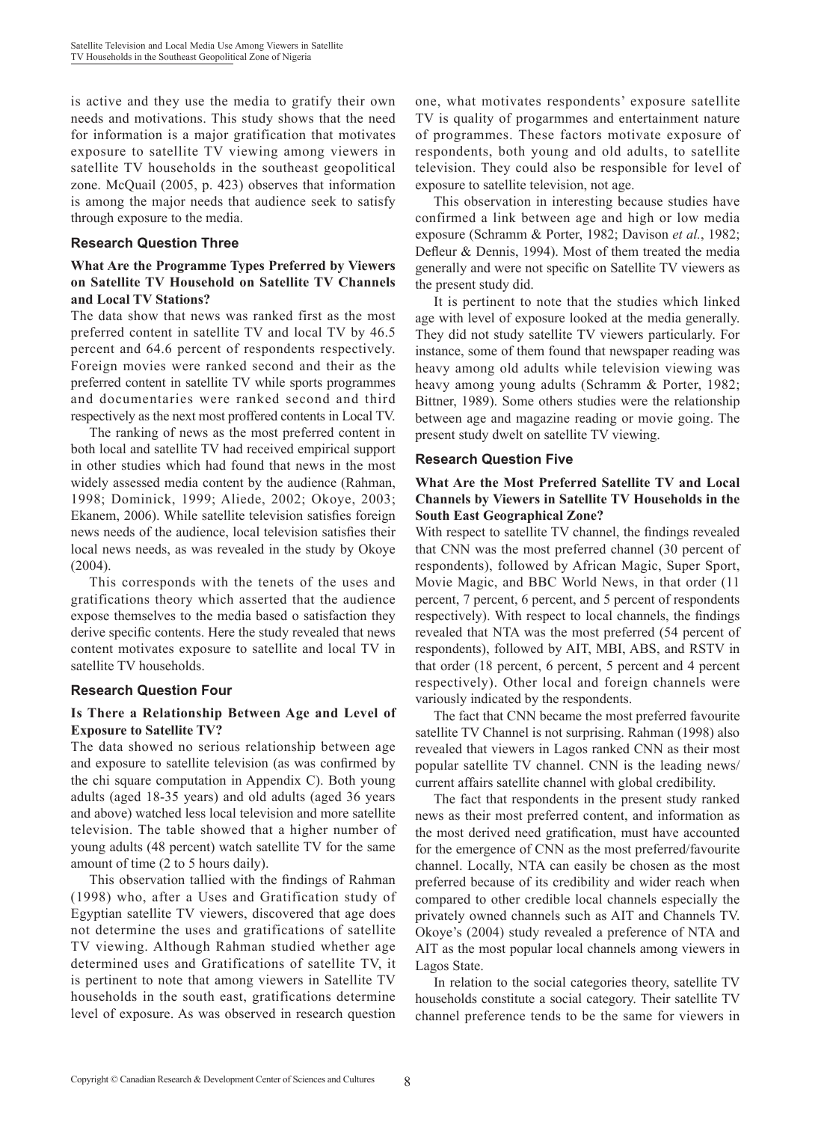is active and they use the media to gratify their own needs and motivations. This study shows that the need for information is a major gratification that motivates exposure to satellite TV viewing among viewers in satellite TV households in the southeast geopolitical zone. McQuail (2005, p. 423) observes that information is among the major needs that audience seek to satisfy through exposure to the media.

#### **Research Question Three**

### **What Are the Programme Types Preferred by Viewers on Satellite TV Household on Satellite TV Channels and Local TV Stations?**

The data show that news was ranked first as the most preferred content in satellite TV and local TV by 46.5 percent and 64.6 percent of respondents respectively. Foreign movies were ranked second and their as the preferred content in satellite TV while sports programmes and documentaries were ranked second and third respectively as the next most proffered contents in Local TV.

The ranking of news as the most preferred content in both local and satellite TV had received empirical support in other studies which had found that news in the most widely assessed media content by the audience (Rahman, 1998; Dominick, 1999; Aliede, 2002; Okoye, 2003; Ekanem, 2006). While satellite television satisfies foreign news needs of the audience, local television satisfies their local news needs, as was revealed in the study by Okoye (2004).

This corresponds with the tenets of the uses and gratifications theory which asserted that the audience expose themselves to the media based o satisfaction they derive specific contents. Here the study revealed that news content motivates exposure to satellite and local TV in satellite TV households.

#### **Research Question Four**

## **Is There a Relationship Between Age and Level of Exposure to Satellite TV?**

The data showed no serious relationship between age and exposure to satellite television (as was confirmed by the chi square computation in Appendix C). Both young adults (aged 18-35 years) and old adults (aged 36 years and above) watched less local television and more satellite television. The table showed that a higher number of young adults (48 percent) watch satellite TV for the same amount of time (2 to 5 hours daily).

This observation tallied with the findings of Rahman (1998) who, after a Uses and Gratification study of Egyptian satellite TV viewers, discovered that age does not determine the uses and gratifications of satellite TV viewing. Although Rahman studied whether age determined uses and Gratifications of satellite TV, it is pertinent to note that among viewers in Satellite TV households in the south east, gratifications determine level of exposure. As was observed in research question one, what motivates respondents' exposure satellite TV is quality of progarmmes and entertainment nature of programmes. These factors motivate exposure of respondents, both young and old adults, to satellite television. They could also be responsible for level of exposure to satellite television, not age.

This observation in interesting because studies have confirmed a link between age and high or low media exposure (Schramm & Porter, 1982; Davison *et al.*, 1982; Defleur & Dennis, 1994). Most of them treated the media generally and were not specific on Satellite TV viewers as the present study did.

It is pertinent to note that the studies which linked age with level of exposure looked at the media generally. They did not study satellite TV viewers particularly. For instance, some of them found that newspaper reading was heavy among old adults while television viewing was heavy among young adults (Schramm & Porter, 1982; Bittner, 1989). Some others studies were the relationship between age and magazine reading or movie going. The present study dwelt on satellite TV viewing.

#### **Research Question Five**

#### **What Are the Most Preferred Satellite TV and Local Channels by Viewers in Satellite TV Households in the South East Geographical Zone?**

With respect to satellite TV channel, the findings revealed that CNN was the most preferred channel (30 percent of respondents), followed by African Magic, Super Sport, Movie Magic, and BBC World News, in that order (11 percent, 7 percent, 6 percent, and 5 percent of respondents respectively). With respect to local channels, the findings revealed that NTA was the most preferred (54 percent of respondents), followed by AIT, MBI, ABS, and RSTV in that order (18 percent, 6 percent, 5 percent and 4 percent respectively). Other local and foreign channels were variously indicated by the respondents.

The fact that CNN became the most preferred favourite satellite TV Channel is not surprising. Rahman (1998) also revealed that viewers in Lagos ranked CNN as their most popular satellite TV channel. CNN is the leading news/ current affairs satellite channel with global credibility.

The fact that respondents in the present study ranked news as their most preferred content, and information as the most derived need gratification, must have accounted for the emergence of CNN as the most preferred/favourite channel. Locally, NTA can easily be chosen as the most preferred because of its credibility and wider reach when compared to other credible local channels especially the privately owned channels such as AIT and Channels TV. Okoye's (2004) study revealed a preference of NTA and AIT as the most popular local channels among viewers in Lagos State.

In relation to the social categories theory, satellite TV households constitute a social category. Their satellite TV channel preference tends to be the same for viewers in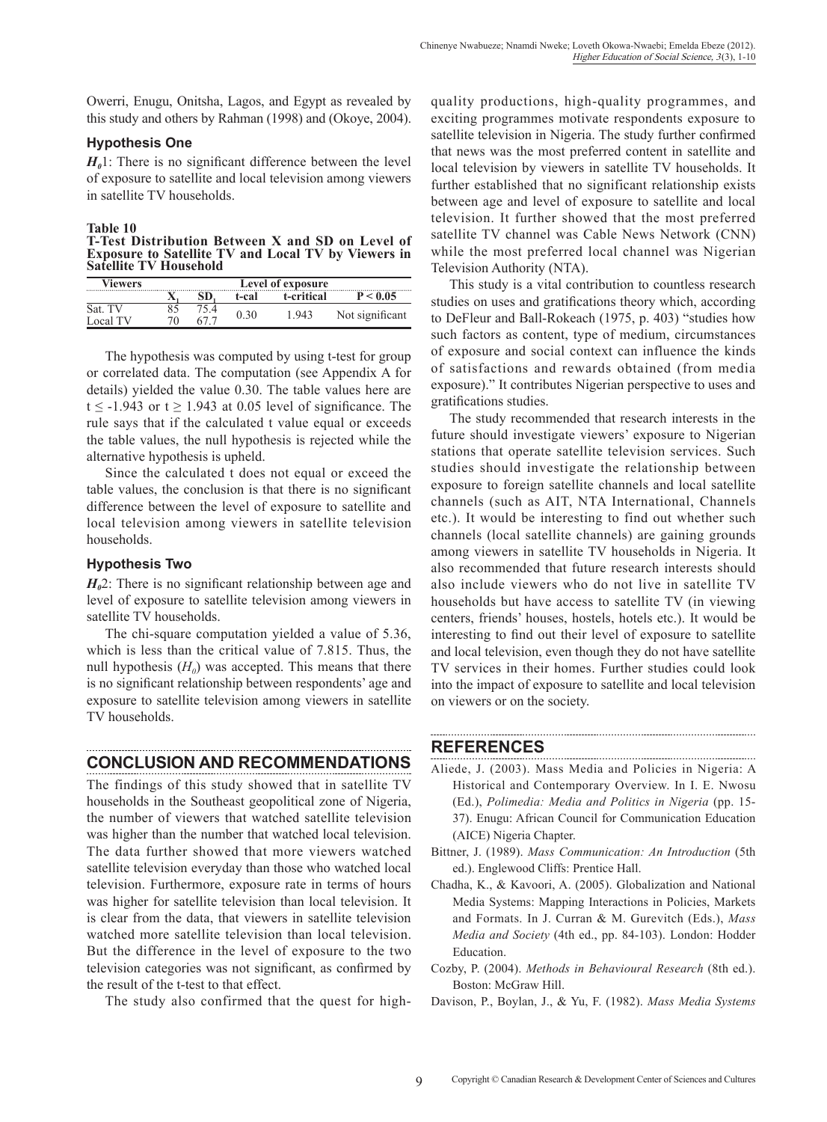Owerri, Enugu, Onitsha, Lagos, and Egypt as revealed by this study and others by Rahman (1998) and (Okoye, 2004).

#### **Hypothesis One**

 $H<sub>0</sub>$ 1: There is no significant difference between the level of exposure to satellite and local television among viewers in satellite TV households.

#### **Table 10**

**T-Test Distribution Between X and SD on Level of Exposure to Satellite TV and Local TV by Viewers in Satellite TV Household**

| Viewers  | Level of exposure |  |       |            |                 |
|----------|-------------------|--|-------|------------|-----------------|
|          |                   |  | t-cal | t-critical | P < 0.05        |
| Sat. TV  |                   |  | 0.30  | 1.943      |                 |
| Local TV | 70                |  |       |            | Not significant |

The hypothesis was computed by using t-test for group or correlated data. The computation (see Appendix A for details) yielded the value 0.30. The table values here are t  $\le$  -1.943 or t  $\ge$  1.943 at 0.05 level of significance. The rule says that if the calculated t value equal or exceeds the table values, the null hypothesis is rejected while the alternative hypothesis is upheld.

Since the calculated t does not equal or exceed the table values, the conclusion is that there is no significant difference between the level of exposure to satellite and local television among viewers in satellite television households.

#### **Hypothesis Two**

*H<sub>0</sub>*2: There is no significant relationship between age and level of exposure to satellite television among viewers in satellite TV households.

The chi-square computation yielded a value of 5.36, which is less than the critical value of 7.815. Thus, the null hypothesis  $(H_0)$  was accepted. This means that there is no significant relationship between respondents' age and exposure to satellite television among viewers in satellite TV households.

# **CONCLUSION AND RECOMMENDATIONS**

The findings of this study showed that in satellite TV households in the Southeast geopolitical zone of Nigeria, the number of viewers that watched satellite television was higher than the number that watched local television. The data further showed that more viewers watched satellite television everyday than those who watched local television. Furthermore, exposure rate in terms of hours was higher for satellite television than local television. It is clear from the data, that viewers in satellite television watched more satellite television than local television. But the difference in the level of exposure to the two television categories was not significant, as confirmed by the result of the t-test to that effect.

The study also confirmed that the quest for high-

quality productions, high-quality programmes, and exciting programmes motivate respondents exposure to satellite television in Nigeria. The study further confirmed that news was the most preferred content in satellite and local television by viewers in satellite TV households. It further established that no significant relationship exists between age and level of exposure to satellite and local television. It further showed that the most preferred satellite TV channel was Cable News Network (CNN) while the most preferred local channel was Nigerian Television Authority (NTA).

This study is a vital contribution to countless research studies on uses and gratifications theory which, according to DeFleur and Ball-Rokeach (1975, p. 403) "studies how such factors as content, type of medium, circumstances of exposure and social context can influence the kinds of satisfactions and rewards obtained (from media exposure)." It contributes Nigerian perspective to uses and gratifications studies.

The study recommended that research interests in the future should investigate viewers' exposure to Nigerian stations that operate satellite television services. Such studies should investigate the relationship between exposure to foreign satellite channels and local satellite channels (such as AIT, NTA International, Channels etc.). It would be interesting to find out whether such channels (local satellite channels) are gaining grounds among viewers in satellite TV households in Nigeria. It also recommended that future research interests should also include viewers who do not live in satellite TV households but have access to satellite TV (in viewing centers, friends' houses, hostels, hotels etc.). It would be interesting to find out their level of exposure to satellite and local television, even though they do not have satellite TV services in their homes. Further studies could look into the impact of exposure to satellite and local television on viewers or on the society.

# **REFERENCES**

- Aliede, J. (2003). Mass Media and Policies in Nigeria: A Historical and Contemporary Overview. In I. E. Nwosu (Ed.), *Polimedia: Media and Politics in Nigeria* (pp. 15- 37). Enugu: African Council for Communication Education (AICE) Nigeria Chapter.
- Bittner, J. (1989). *Mass Communication: An Introduction* (5th ed.). Englewood Cliffs: Prentice Hall.
- Chadha, K., & Kavoori, A. (2005). Globalization and National Media Systems: Mapping Interactions in Policies, Markets and Formats. In J. Curran & M. Gurevitch (Eds.), *Mass Media and Society* (4th ed., pp. 84-103). London: Hodder Education.
- Cozby, P. (2004). *Methods in Behavioural Research* (8th ed.). Boston: McGraw Hill.
- Davison, P., Boylan, J., & Yu, F. (1982). *Mass Media Systems*